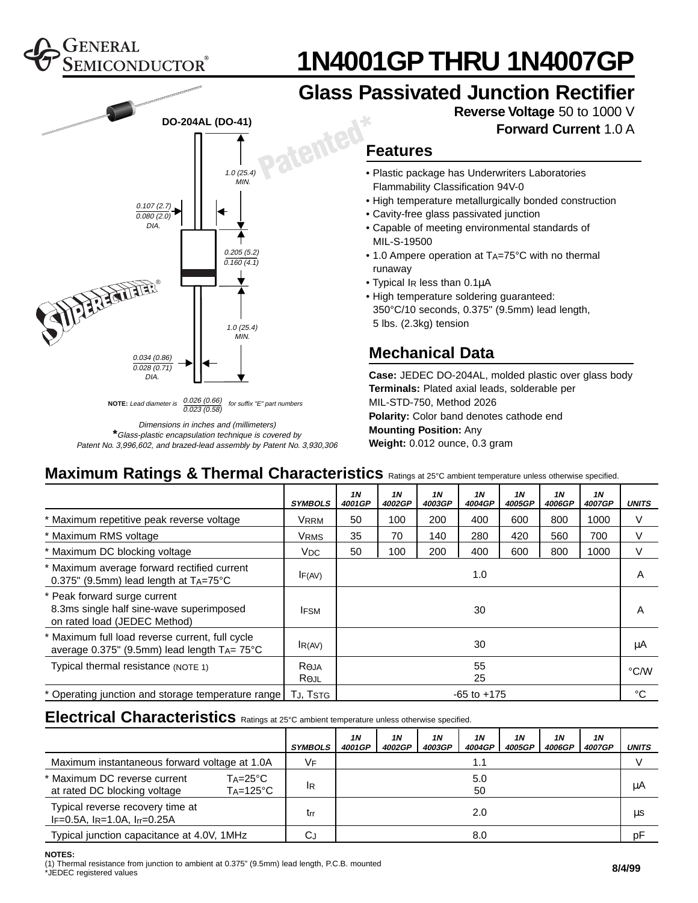### ENERAL MICONDUCTOR

**WARENTER** 

0.107 (2.7)  $0.080(2.0)$ 

DIA.

0.034 (0.86)  $0.028(0.71)$ 

DIA.

**DO-204AL (DO-41)**

1.0 (25.4)  $\sum_{MIN}$ 

1.0 (25.4) MIN.

**NOTE:** Lead diameter is  $\frac{0.026 (0.66)}{0.026}$  for suffix "E" part numbers  $0.023(0.58)$ 

Dimensions in inches and (millimeters) **\***Glass-plastic encapsulation technique is covered by Patent No. 3,996,602, and brazed-lead assembly by Patent No. 3,930,306

0.205 (5.2)  $0.160(4.1)$ 



## **Glass Passivated Junction Rectifier**



**Forward Current** 1.0 A

#### **Features**

- Plastic package has Underwriters Laboratories Flammability Classification 94V-0
- High temperature metallurgically bonded construction
- Cavity-free glass passivated junction
- Capable of meeting environmental standards of MIL-S-19500
- 1.0 Ampere operation at  $T_A = 75^{\circ}$ C with no thermal runaway
- Typical IR less than 0.1µA
- High temperature soldering guaranteed: 350°C/10 seconds, 0.375" (9.5mm) lead length, 5 lbs. (2.3kg) tension

#### **Mechanical Data**

**Case:** JEDEC DO-204AL, molded plastic over glass body **Terminals:** Plated axial leads, solderable per MIL-STD-750, Method 2026 **Polarity:** Color band denotes cathode end **Mounting Position:** Any **Weight:** 0.012 ounce, 0.3 gram

#### **Maximum Ratings & Thermal Characteristics** Ratings at 25°C ambient temperature unless otherwise specified.

**Patented\***

|                                                                                                               | <b>SYMBOLS</b>                    | 1N<br>4001GP    | <b>1N</b><br>4002GP | 1 <sub>N</sub><br>4003GP | <b>1N</b><br>4004GP | <b>1N</b><br>4005GP | <b>1N</b><br>4006GP | 1 <sub>N</sub><br>4007GP | <b>UNITS</b> |
|---------------------------------------------------------------------------------------------------------------|-----------------------------------|-----------------|---------------------|--------------------------|---------------------|---------------------|---------------------|--------------------------|--------------|
| * Maximum repetitive peak reverse voltage                                                                     | <b>VRRM</b>                       | 50              | 100                 | 200                      | 400                 | 600                 | 800                 | 1000                     | V            |
| * Maximum RMS voltage                                                                                         | <b>VRMS</b>                       | 35              | 70                  | 140                      | 280                 | 420                 | 560                 | 700                      | V            |
| * Maximum DC blocking voltage                                                                                 | V <sub>DC</sub>                   | 50              | 100                 | 200                      | 400                 | 600                 | 800                 | 1000                     | V            |
| * Maximum average forward rectified current<br>$0.375$ " (9.5mm) lead length at $TA = 75$ °C                  | IF(AV)                            | 1.0             |                     |                          |                     |                     |                     |                          | A            |
| * Peak forward surge current<br>8.3ms single half sine-wave superimposed<br>on rated load (JEDEC Method)      | <b>IFSM</b>                       | 30              |                     |                          |                     |                     |                     | A                        |              |
| * Maximum full load reverse current, full cycle<br>average $0.375$ " (9.5mm) lead length $T_A = 75^{\circ}$ C | IR(AV)                            | 30              |                     |                          |                     |                     |                     |                          | μA           |
| Typical thermal resistance (NOTE 1)                                                                           | $R_{\Theta}$ JA<br>$R_{\Theta$ JL | 55<br>25        |                     |                          |                     |                     |                     | °C/W                     |              |
| * Operating junction and storage temperature range                                                            | TJ, TSTG                          | $-65$ to $+175$ |                     |                          |                     |                     |                     | °C                       |              |

#### **Electrical Characteristics** Ratings at 25°C ambient temperature unless otherwise specified.

|                                                                                 |                                         | <b>SYMBOLS</b> | 1N<br>4001GP | 1N<br>4002GP | 1N<br>4003GP | 1N<br>4004GP | 1N<br>4005GP | 1N<br>4006GP | 1N<br>4007GP | <b>UNITS</b> |
|---------------------------------------------------------------------------------|-----------------------------------------|----------------|--------------|--------------|--------------|--------------|--------------|--------------|--------------|--------------|
| Maximum instantaneous forward voltage at 1.0A                                   |                                         | VF             | 1.1          |              |              |              |              |              |              |              |
| * Maximum DC reverse current<br>at rated DC blocking voltage                    | $Ta = 25^{\circ}C$<br>$Ta=125^{\circ}C$ | <sup>I</sup> R |              | 5.0<br>50    |              |              |              |              |              | μA           |
| Typical reverse recovery time at<br>$I_F = 0.5A$ , $I_R = 1.0A$ , $I_T = 0.25A$ |                                         | trr            |              |              |              | 2.0          |              |              |              | μs           |
| Typical junction capacitance at 4.0V, 1MHz                                      |                                         | CJ             | 8.0          |              |              |              |              |              | рF           |              |

**NOTES:**

(1) Thermal resistance from junction to ambient at 0.375" (9.5mm) lead length, P.C.B. mounted

\*JEDEC registered values